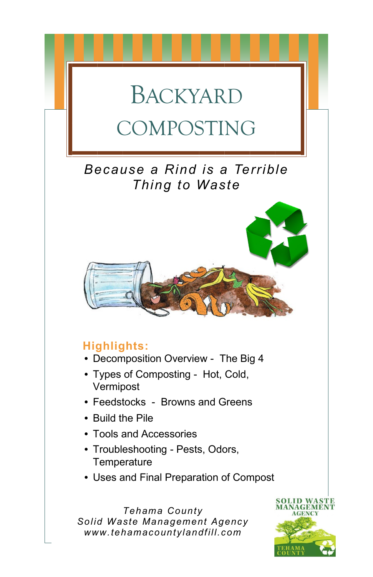# BACKYARD COMPOSTING

# *Because a Rind is a Terrible Thing to Waste*



# **Highlights:**

- Decomposition Overview The Big 4
- Types of Composting Hot, Cold, Vermipost
- Feedstocks Browns and Greens
- Build the Pile
- Tools and Accessories
- Troubleshooting Pests, Odors, **Temperature**
- Uses and Final Preparation of Compost

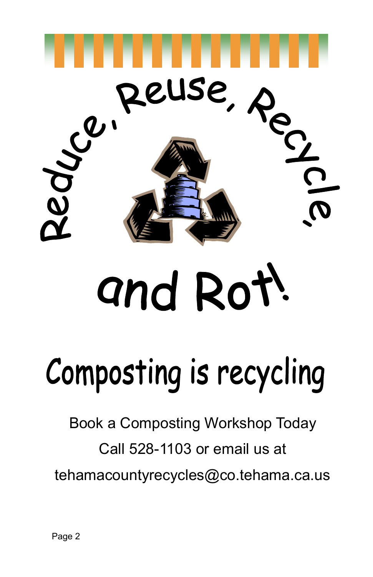

# and Rot!

# Composting is recycling

Book a Composting Workshop Today Call 528-1103 or email us at tehamacountyrecycles@co.tehama.ca.us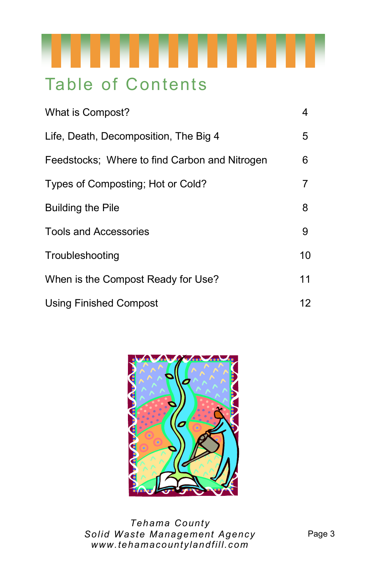

# Table of Contents

| What is Compost?                              | 4  |
|-----------------------------------------------|----|
| Life, Death, Decomposition, The Big 4         | 5  |
| Feedstocks; Where to find Carbon and Nitrogen | 6  |
| Types of Composting; Hot or Cold?             | 7  |
| <b>Building the Pile</b>                      | 8  |
| <b>Tools and Accessories</b>                  | 9  |
| Troubleshooting                               | 10 |
| When is the Compost Ready for Use?            | 11 |
| <b>Using Finished Compost</b>                 | 12 |

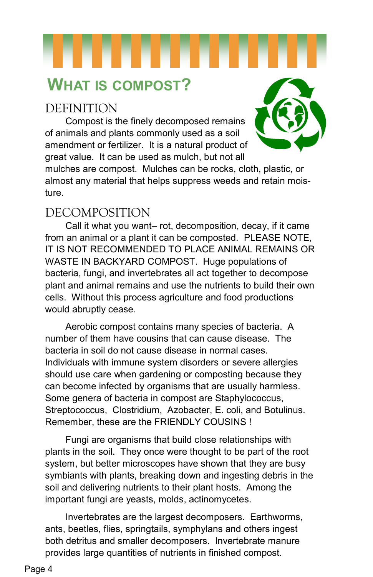# **WHAT IS COMPOST?**

# DEFINITION

Compost is the finely decomposed remains of animals and plants commonly used as a soil amendment or fertilizer. It is a natural product of great value. It can be used as mulch, but not all



mulches are compost. Mulches can be rocks, cloth, plastic, or almost any material that helps suppress weeds and retain moisture.

## DECOMPOSITION

Call it what you want– rot, decomposition, decay, if it came from an animal or a plant it can be composted. PLEASE NOTE, IT IS NOT RECOMMENDED TO PLACE ANIMAL REMAINS OR WASTE IN BACKYARD COMPOST. Huge populations of bacteria, fungi, and invertebrates all act together to decompose plant and animal remains and use the nutrients to build their own cells. Without this process agriculture and food productions would abruptly cease.

Aerobic compost contains many species of bacteria. A number of them have cousins that can cause disease. The bacteria in soil do not cause disease in normal cases. Individuals with immune system disorders or severe allergies should use care when gardening or composting because they can become infected by organisms that are usually harmless. Some genera of bacteria in compost are Staphylococcus, Streptococcus, Clostridium, Azobacter, E. coli, and Botulinus. Remember, these are the FRIENDLY COUSINS !

Fungi are organisms that build close relationships with plants in the soil. They once were thought to be part of the root system, but better microscopes have shown that they are busy symbiants with plants, breaking down and ingesting debris in the soil and delivering nutrients to their plant hosts. Among the important fungi are yeasts, molds, actinomycetes.

Invertebrates are the largest decomposers. Earthworms, ants, beetles, flies, springtails, symphylans and others ingest both detritus and smaller decomposers. Invertebrate manure provides large quantities of nutrients in finished compost.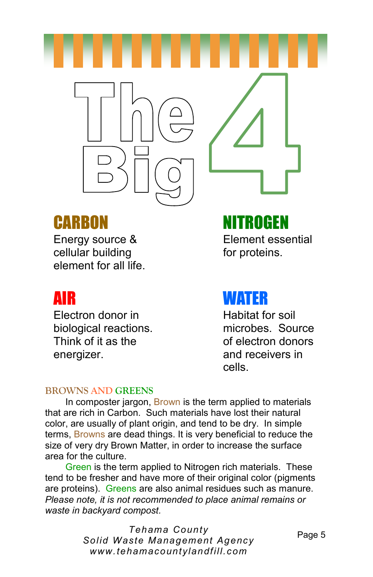

# CARBON NITROGEN

Energy source & Element essential cellular building example for proteins. element for all life.

Electron donor in Habitat for soil biological reactions. microbes. Source Think of it as the of electron donors energizer. The contract of the contract and receivers in

# AIR WATER

cells.

### **BROWNS AND GREENS**

In composter jargon, Brown is the term applied to materials that are rich in Carbon. Such materials have lost their natural color, are usually of plant origin, and tend to be dry. In simple terms, Browns are dead things. It is very beneficial to reduce the size of very dry Brown Matter, in order to increase the surface area for the culture.

Green is the term applied to Nitrogen rich materials. These tend to be fresher and have more of their original color (pigments are proteins). Greens are also animal residues such as manure. *Please note, it is not recommended to place animal remains or waste in backyard compost.*

> *Tehama County Solid Waste Management Agency www.tehamacountylandfill.com*

Page 5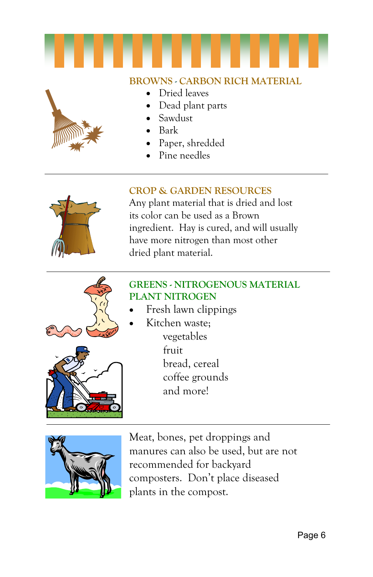

## **BROWNS - CARBON RICH MATERIAL**

- 
- Dried leaves
- Dead plant parts
- Sawdust
- Bark
- Paper, shredded
- Pine needles

### **CROP & GARDEN RESOURCES**

Any plant material that is dried and lost its color can be used as a Brown ingredient. Hay is cured, and will usually have more nitrogen than most other dried plant material.



### **GREENS - NITROGENOUS MATERIAL PLANT NITROGEN**

- Fresh lawn clippings
	- Kitchen waste; vegetables fruit bread, cereal coffee grounds and more!



Meat, bones, pet droppings and manures can also be used, but are not recommended for backyard composters. Don't place diseased plants in the compost.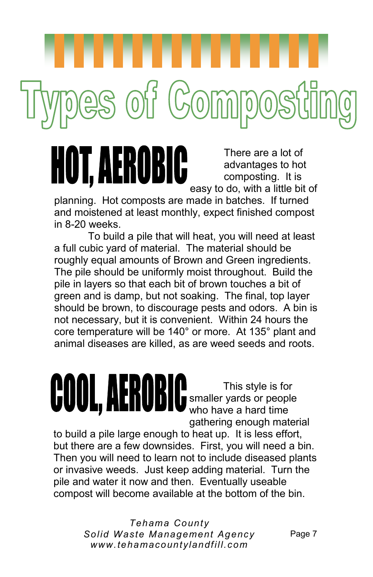There are a lot of advantages to hot composting. It is easy to do, with a little bit of

planning. Hot composts are made in batches. If turned and moistened at least monthly, expect finished compost in 8-20 weeks.

es of Comp

r. Aerobic

To build a pile that will heat, you will need at least a full cubic yard of material. The material should be roughly equal amounts of Brown and Green ingredients. The pile should be uniformly moist throughout. Build the pile in layers so that each bit of brown touches a bit of green and is damp, but not soaking. The final, top layer should be brown, to discourage pests and odors. A bin is not necessary, but it is convenient. Within 24 hours the core temperature will be 140° or more. At 135° plant and animal diseases are killed, as are weed seeds and roots.

> This style is for smaller yards or people who have a hard time gathering enough material

to build a pile large enough to heat up. It is less effort, but there are a few downsides. First, you will need a bin. Then you will need to learn not to include diseased plants or invasive weeds. Just keep adding material. Turn the pile and water it now and then. Eventually useable compost will become available at the bottom of the bin.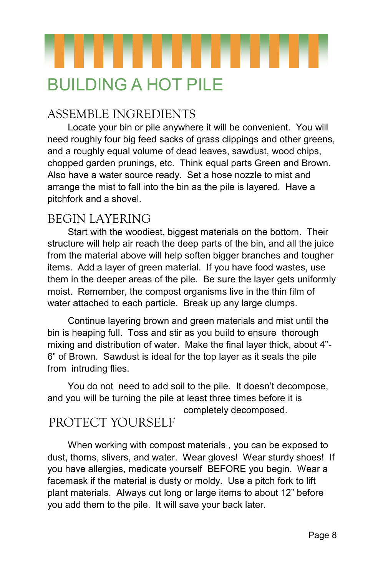

# BUILDING A HOT PILE

# ASSEMBLE INGREDIENTS

Locate your bin or pile anywhere it will be convenient. You will need roughly four big feed sacks of grass clippings and other greens, and a roughly equal volume of dead leaves, sawdust, wood chips, chopped garden prunings, etc. Think equal parts Green and Brown. Also have a water source ready. Set a hose nozzle to mist and arrange the mist to fall into the bin as the pile is layered. Have a pitchfork and a shovel.

## BEGIN LAYERING

Start with the woodiest, biggest materials on the bottom. Their structure will help air reach the deep parts of the bin, and all the juice from the material above will help soften bigger branches and tougher items. Add a layer of green material. If you have food wastes, use them in the deeper areas of the pile. Be sure the layer gets uniformly moist. Remember, the compost organisms live in the thin film of water attached to each particle. Break up any large clumps.

Continue layering brown and green materials and mist until the bin is heaping full. Toss and stir as you build to ensure thorough mixing and distribution of water. Make the final layer thick, about 4"- 6" of Brown. Sawdust is ideal for the top layer as it seals the pile from intruding flies.

You do not need to add soil to the pile. It doesn't decompose, and you will be turning the pile at least three times before it is completely decomposed.

# PROTECT YOURSELF

When working with compost materials , you can be exposed to dust, thorns, slivers, and water. Wear gloves! Wear sturdy shoes! If you have allergies, medicate yourself BEFORE you begin. Wear a facemask if the material is dusty or moldy. Use a pitch fork to lift plant materials. Always cut long or large items to about 12" before you add them to the pile. It will save your back later.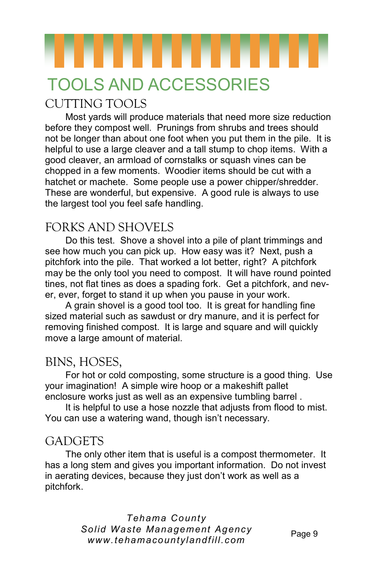# TOOLS AND ACCESSORIES

# CUTTING TOOLS

Most yards will produce materials that need more size reduction before they compost well. Prunings from shrubs and trees should not be longer than about one foot when you put them in the pile. It is helpful to use a large cleaver and a tall stump to chop items. With a good cleaver, an armload of cornstalks or squash vines can be chopped in a few moments. Woodier items should be cut with a hatchet or machete. Some people use a power chipper/shredder. These are wonderful, but expensive. A good rule is always to use the largest tool you feel safe handling.

# FORKS AND SHOVELS

Do this test. Shove a shovel into a pile of plant trimmings and see how much you can pick up. How easy was it? Next, push a pitchfork into the pile. That worked a lot better, right? A pitchfork may be the only tool you need to compost. It will have round pointed tines, not flat tines as does a spading fork. Get a pitchfork, and never, ever, forget to stand it up when you pause in your work.

A grain shovel is a good tool too. It is great for handling fine sized material such as sawdust or dry manure, and it is perfect for removing finished compost. It is large and square and will quickly move a large amount of material.

### BINS, HOSES,

For hot or cold composting, some structure is a good thing. Use your imagination! A simple wire hoop or a makeshift pallet enclosure works just as well as an expensive tumbling barrel .

It is helpful to use a hose nozzle that adjusts from flood to mist. You can use a watering wand, though isn't necessary.

### GADGETS

The only other item that is useful is a compost thermometer. It has a long stem and gives you important information. Do not invest in aerating devices, because they just don't work as well as a pitchfork.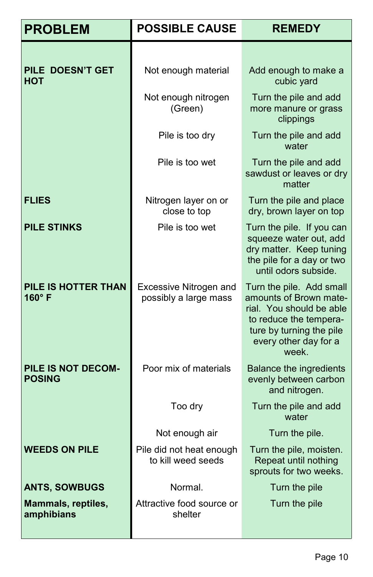| <b>PROBLEM</b>                       | <b>POSSIBLE CAUSE</b>                                  | <b>REMEDY</b>                                                                                                                                                          |
|--------------------------------------|--------------------------------------------------------|------------------------------------------------------------------------------------------------------------------------------------------------------------------------|
|                                      |                                                        |                                                                                                                                                                        |
| PILE DOESN'T GET<br><b>HOT</b>       | Not enough material                                    | Add enough to make a<br>cubic yard                                                                                                                                     |
|                                      | Not enough nitrogen<br>(Green)                         | Turn the pile and add<br>more manure or grass<br>clippings                                                                                                             |
|                                      | Pile is too dry                                        | Turn the pile and add<br>water                                                                                                                                         |
|                                      | Pile is too wet                                        | Turn the pile and add<br>sawdust or leaves or dry<br>matter                                                                                                            |
| <b>FLIES</b>                         | Nitrogen layer on or<br>close to top                   | Turn the pile and place<br>dry, brown layer on top                                                                                                                     |
| <b>PILE STINKS</b>                   | Pile is too wet                                        | Turn the pile. If you can<br>squeeze water out, add<br>dry matter. Keep tuning<br>the pile for a day or two<br>until odors subside.                                    |
| PILE IS HOTTER THAN<br>$160^\circ$ F | <b>Excessive Nitrogen and</b><br>possibly a large mass | Turn the pile. Add small<br>amounts of Brown mate-<br>rial. You should be able<br>to reduce the tempera-<br>ture by turning the pile<br>every other day for a<br>week. |
| PILE IS NOT DECOM-<br><b>POSING</b>  | Poor mix of materials                                  | <b>Balance the ingredients</b><br>evenly between carbon<br>and nitrogen.                                                                                               |
|                                      | Too dry                                                | Turn the pile and add<br>water                                                                                                                                         |
|                                      | Not enough air                                         | Turn the pile.                                                                                                                                                         |
| <b>WEEDS ON PILE</b>                 | Pile did not heat enough<br>to kill weed seeds         | Turn the pile, moisten.<br>Repeat until nothing<br>sprouts for two weeks.                                                                                              |
| <b>ANTS, SOWBUGS</b>                 | Normal.                                                | Turn the pile                                                                                                                                                          |
| Mammals, reptiles,<br>amphibians     | Attractive food source or<br>shelter                   | Turn the pile                                                                                                                                                          |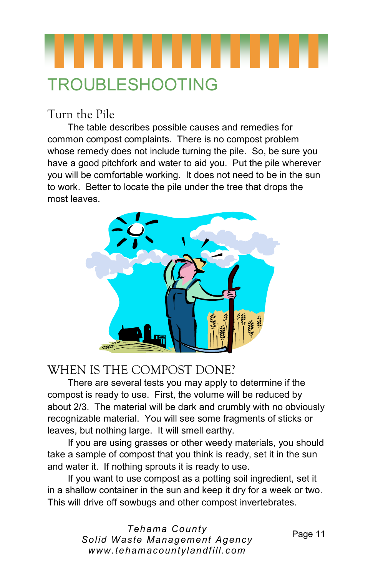

# Turn the Pile

The table describes possible causes and remedies for common compost complaints. There is no compost problem whose remedy does not include turning the pile. So, be sure you have a good pitchfork and water to aid you. Put the pile wherever you will be comfortable working. It does not need to be in the sun to work. Better to locate the pile under the tree that drops the most leaves.



## WHEN IS THE COMPOST DONE?

There are several tests you may apply to determine if the compost is ready to use. First, the volume will be reduced by about 2/3. The material will be dark and crumbly with no obviously recognizable material. You will see some fragments of sticks or leaves, but nothing large. It will smell earthy.

If you are using grasses or other weedy materials, you should take a sample of compost that you think is ready, set it in the sun and water it. If nothing sprouts it is ready to use.

If you want to use compost as a potting soil ingredient, set it in a shallow container in the sun and keep it dry for a week or two. This will drive off sowbugs and other compost invertebrates.